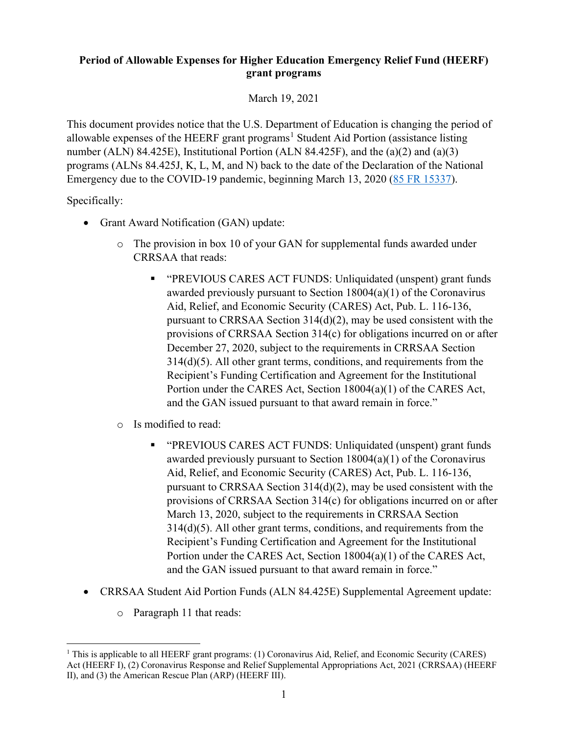## **Period of Allowable Expenses for Higher Education Emergency Relief Fund (HEERF) grant programs**

March 19, 2021

This document provides notice that the U.S. Department of Education is changing the period of allowable expenses of the HEERF grant programs<sup>[1](#page-0-0)</sup> Student Aid Portion (assistance listing number (ALN) 84.425E), Institutional Portion (ALN 84.425F), and the (a)(2) and (a)(3) programs (ALNs 84.425J, K, L, M, and N) back to the date of the Declaration of the National Emergency due to the COVID-19 pandemic, beginning March 13, 2020 [\(85 FR 15337\)](https://www.federalregister.gov/d/2020-05794).

Specifically:

- Grant Award Notification (GAN) update:
	- o The provision in box 10 of your GAN for supplemental funds awarded under CRRSAA that reads:
		- "PREVIOUS CARES ACT FUNDS: Unliquidated (unspent) grant funds awarded previously pursuant to Section 18004(a)(1) of the Coronavirus Aid, Relief, and Economic Security (CARES) Act, Pub. L. 116-136, pursuant to CRRSAA Section 314(d)(2), may be used consistent with the provisions of CRRSAA Section 314(c) for obligations incurred on or after December 27, 2020, subject to the requirements in CRRSAA Section 314(d)(5). All other grant terms, conditions, and requirements from the Recipient's Funding Certification and Agreement for the Institutional Portion under the CARES Act, Section 18004(a)(1) of the CARES Act, and the GAN issued pursuant to that award remain in force."
	- o Is modified to read:
		- "PREVIOUS CARES ACT FUNDS: Unliquidated (unspent) grant funds awarded previously pursuant to Section 18004(a)(1) of the Coronavirus Aid, Relief, and Economic Security (CARES) Act, Pub. L. 116-136, pursuant to CRRSAA Section 314(d)(2), may be used consistent with the provisions of CRRSAA Section 314(c) for obligations incurred on or after March 13, 2020, subject to the requirements in CRRSAA Section 314(d)(5). All other grant terms, conditions, and requirements from the Recipient's Funding Certification and Agreement for the Institutional Portion under the CARES Act, Section 18004(a)(1) of the CARES Act, and the GAN issued pursuant to that award remain in force."
- CRRSAA Student Aid Portion Funds (ALN 84.425E) Supplemental Agreement update:
	- o Paragraph 11 that reads:

<span id="page-0-0"></span><sup>&</sup>lt;sup>1</sup> This is applicable to all HEERF grant programs: (1) Coronavirus Aid, Relief, and Economic Security (CARES) Act (HEERF I), (2) Coronavirus Response and Relief Supplemental Appropriations Act, 2021 (CRRSAA) (HEERF II), and (3) the American Rescue Plan (ARP) (HEERF III).